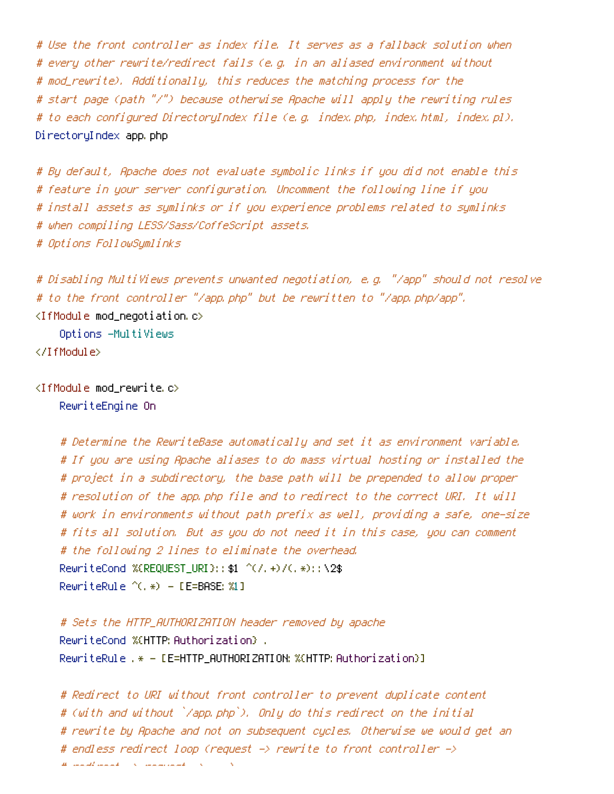# Use the front controller as index file. It serves as <sup>a</sup> fallback solution when # every other rewrite/redirect fails (e.g. in an aliased environment without # mod\_rewrite). Additionally, this reduces the matching process for the # start page (path "/") because otherwise Apache will apply the rewriting rules # to each configured DirectoryIndex file (e.g. index.php, index.html, index.pl). DirectoryIndex app.php

# By default, Apache does not evaluate symbolic links if you did not enable this # feature in your server configuration. Uncomment the following line if you # install assets as symlinks or if you experience problems related to symlinks # when compiling LESS/Sass/CoffeScript assets. # Options FollowSymlinks

# Disabling MultiViews prevents unwanted negotiation, e.g. "/app" should not resolve # to the front controller "/app.php" but be rewritten to "/app.php/app".

<IfModule mod\_negotiation.c>

Options -MultiViews </IfModule>

 $\triangleleft$ IfModule mod rewrite.c $>$ RewriteEngine On

> # Determine the RewriteBase automatically and set it as environment variable. # If you are using Apache aliases to do mass virtual hosting or installed the # project in <sup>a</sup> subdirectory, the base path will be prepended to allow proper # resolution of the app.php file and to redirect to the correct URI. It will # work in environments without path prefix as well, providing <sup>a</sup> safe, one-size # fits all solution. But as you do not need it in this case, you can comment # the following 2 lines to eliminate the overhead. RewriteCond %{REQUEST\_URI}::\$1 ^(/.+)/(.\*)::\2\$ RewriteRule ^(.\*) - [E=BASE:%1]

# Sets the HTTP\_AUTHORIZATION header removed by apache RewriteCond %{HTTP: Authorization} . RewriteRule .\* - [E=HTTP\_AUTHORIZATION:%{HTTP:Authorization}]

```
# Redirect to URI without front controller to prevent duplicate content
# (with and without `/app.php`). Only do this redirect on the initial
# rewrite by Apache and not on subsequent cycles. Otherwise we would get an
# endless redirect loop (request -> rewrite to front controller ->
\mu , redirect and \mu - \lambda . The continuum
```